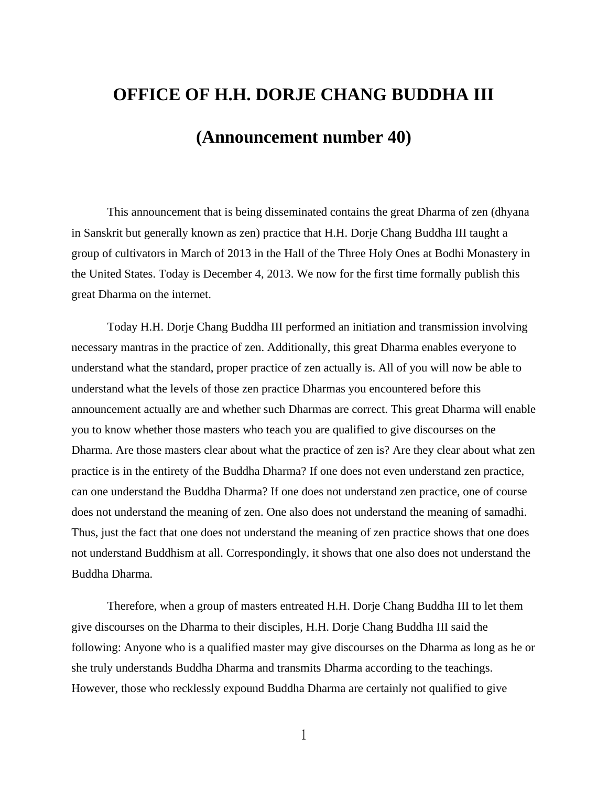# **OFFICE OF H.H. DORJE CHANG BUDDHA III**

#### **(Announcement number 40)**

This announcement that is being disseminated contains the great Dharma of zen (dhyana in Sanskrit but generally known as zen) practice that H.H. Dorje Chang Buddha III taught a group of cultivators in March of 2013 in the Hall of the Three Holy Ones at Bodhi Monastery in the United States. Today is December 4, 2013. We now for the first time formally publish this great Dharma on the internet.

Today H.H. Dorje Chang Buddha III performed an initiation and transmission involving necessary mantras in the practice of zen. Additionally, this great Dharma enables everyone to understand what the standard, proper practice of zen actually is. All of you will now be able to understand what the levels of those zen practice Dharmas you encountered before this announcement actually are and whether such Dharmas are correct. This great Dharma will enable you to know whether those masters who teach you are qualified to give discourses on the Dharma. Are those masters clear about what the practice of zen is? Are they clear about what zen practice is in the entirety of the Buddha Dharma? If one does not even understand zen practice, can one understand the Buddha Dharma? If one does not understand zen practice, one of course does not understand the meaning of zen. One also does not understand the meaning of samadhi. Thus, just the fact that one does not understand the meaning of zen practice shows that one does not understand Buddhism at all. Correspondingly, it shows that one also does not understand the Buddha Dharma.

Therefore, when a group of masters entreated H.H. Dorje Chang Buddha III to let them give discourses on the Dharma to their disciples, H.H. Dorje Chang Buddha III said the following: Anyone who is a qualified master may give discourses on the Dharma as long as he or she truly understands Buddha Dharma and transmits Dharma according to the teachings. However, those who recklessly expound Buddha Dharma are certainly not qualified to give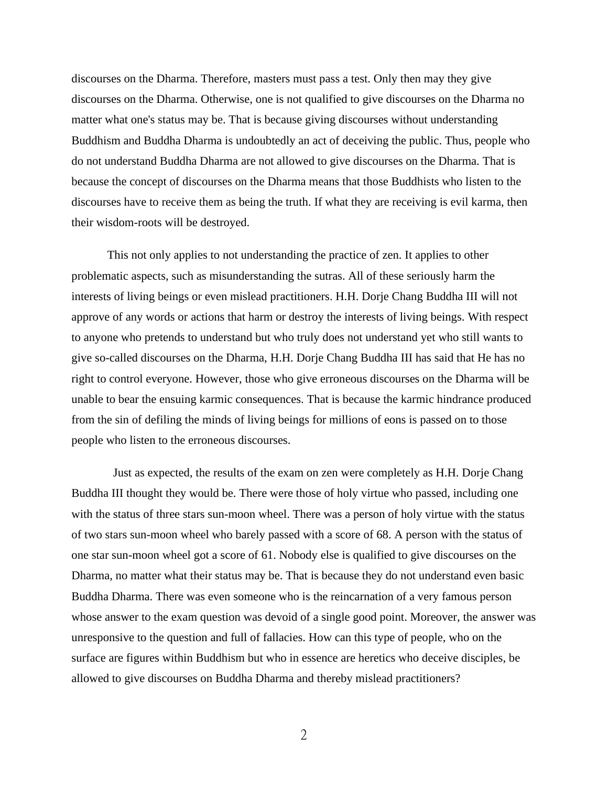discourses on the Dharma. Therefore, masters must pass a test. Only then may they give discourses on the Dharma. Otherwise, one is not qualified to give discourses on the Dharma no matter what one's status may be. That is because giving discourses without understanding Buddhism and Buddha Dharma is undoubtedly an act of deceiving the public. Thus, people who do not understand Buddha Dharma are not allowed to give discourses on the Dharma. That is because the concept of discourses on the Dharma means that those Buddhists who listen to the discourses have to receive them as being the truth. If what they are receiving is evil karma, then their wisdom-roots will be destroyed.

This not only applies to not understanding the practice of zen. It applies to other problematic aspects, such as misunderstanding the sutras. All of these seriously harm the interests of living beings or even mislead practitioners. H.H. Dorje Chang Buddha III will not approve of any words or actions that harm or destroy the interests of living beings. With respect to anyone who pretends to understand but who truly does not understand yet who still wants to give so-called discourses on the Dharma, H.H. Dorje Chang Buddha III has said that He has no right to control everyone. However, those who give erroneous discourses on the Dharma will be unable to bear the ensuing karmic consequences. That is because the karmic hindrance produced from the sin of defiling the minds of living beings for millions of eons is passed on to those people who listen to the erroneous discourses.

Just as expected, the results of the exam on zen were completely as H.H. Dorje Chang Buddha III thought they would be. There were those of holy virtue who passed, including one with the status of three stars sun-moon wheel. There was a person of holy virtue with the status of two stars sun-moon wheel who barely passed with a score of 68. A person with the status of one star sun-moon wheel got a score of 61. Nobody else is qualified to give discourses on the Dharma, no matter what their status may be. That is because they do not understand even basic Buddha Dharma. There was even someone who is the reincarnation of a very famous person whose answer to the exam question was devoid of a single good point. Moreover, the answer was unresponsive to the question and full of fallacies. How can this type of people, who on the surface are figures within Buddhism but who in essence are heretics who deceive disciples, be allowed to give discourses on Buddha Dharma and thereby mislead practitioners?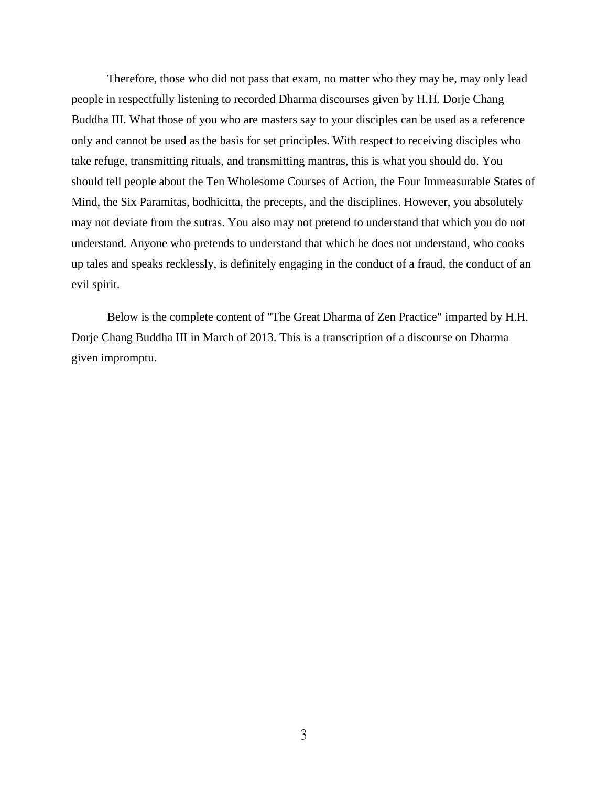Therefore, those who did not pass that exam, no matter who they may be, may only lead people in respectfully listening to recorded Dharma discourses given by H.H. Dorje Chang Buddha III. What those of you who are masters say to your disciples can be used as a reference only and cannot be used as the basis for set principles. With respect to receiving disciples who take refuge, transmitting rituals, and transmitting mantras, this is what you should do. You should tell people about the Ten Wholesome Courses of Action, the Four Immeasurable States of Mind, the Six Paramitas, bodhicitta, the precepts, and the disciplines. However, you absolutely may not deviate from the sutras. You also may not pretend to understand that which you do not understand. Anyone who pretends to understand that which he does not understand, who cooks up tales and speaks recklessly, is definitely engaging in the conduct of a fraud, the conduct of an evil spirit.

Below is the complete content of "The Great Dharma of Zen Practice" imparted by H.H. Dorje Chang Buddha III in March of 2013. This is a transcription of a discourse on Dharma given impromptu.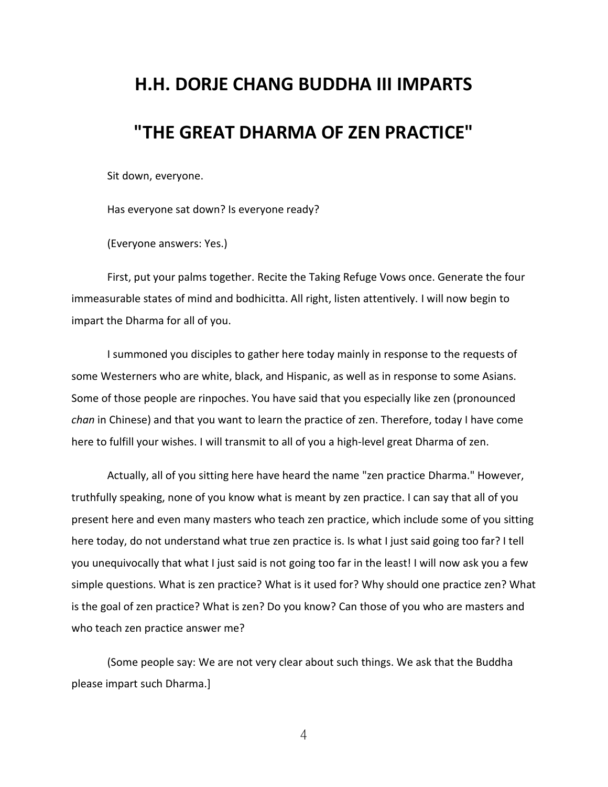## **H.H. DORJE CHANG BUDDHA III IMPARTS**

## **"THE GREAT DHARMA OF ZEN PRACTICE"**

Sit down, everyone.

Has everyone sat down? Is everyone ready?

(Everyone answers: Yes.)

First, put your palms together. Recite the Taking Refuge Vows once. Generate the four immeasurable states of mind and bodhicitta. All right, listen attentively. I will now begin to impart the Dharma for all of you.

I summoned you disciples to gather here today mainly in response to the requests of some Westerners who are white, black, and Hispanic, as well as in response to some Asians. Some of those people are rinpoches. You have said that you especially like zen (pronounced *chan* in Chinese) and that you want to learn the practice of zen. Therefore, today I have come here to fulfill your wishes. I will transmit to all of you a high-level great Dharma of zen.

Actually, all of you sitting here have heard the name "zen practice Dharma." However, truthfully speaking, none of you know what is meant by zen practice. I can say that all of you present here and even many masters who teach zen practice, which include some of you sitting here today, do not understand what true zen practice is. Is what I just said going too far? I tell you unequivocally that what I just said is not going too far in the least! I will now ask you a few simple questions. What is zen practice? What is it used for? Why should one practice zen? What is the goal of zen practice? What is zen? Do you know? Can those of you who are masters and who teach zen practice answer me?

(Some people say: We are not very clear about such things. We ask that the Buddha please impart such Dharma.]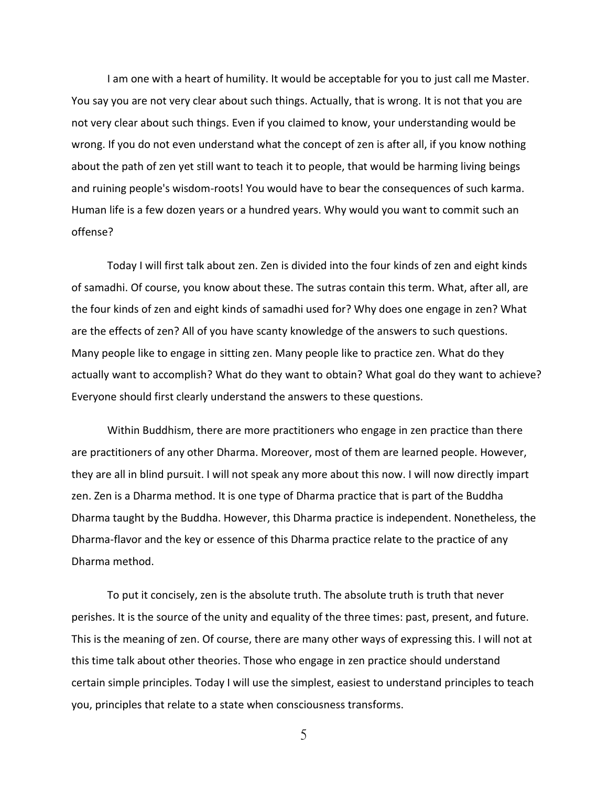I am one with a heart of humility. It would be acceptable for you to just call me Master. You say you are not very clear about such things. Actually, that is wrong. It is not that you are not very clear about such things. Even if you claimed to know, your understanding would be wrong. If you do not even understand what the concept of zen is after all, if you know nothing about the path of zen yet still want to teach it to people, that would be harming living beings and ruining people's wisdom-roots! You would have to bear the consequences of such karma. Human life is a few dozen years or a hundred years. Why would you want to commit such an offense?

Today I will first talk about zen. Zen is divided into the four kinds of zen and eight kinds of samadhi. Of course, you know about these. The sutras contain this term. What, after all, are the four kinds of zen and eight kinds of samadhi used for? Why does one engage in zen? What are the effects of zen? All of you have scanty knowledge of the answers to such questions. Many people like to engage in sitting zen. Many people like to practice zen. What do they actually want to accomplish? What do they want to obtain? What goal do they want to achieve? Everyone should first clearly understand the answers to these questions.

Within Buddhism, there are more practitioners who engage in zen practice than there are practitioners of any other Dharma. Moreover, most of them are learned people. However, they are all in blind pursuit. I will not speak any more about this now. I will now directly impart zen. Zen is a Dharma method. It is one type of Dharma practice that is part of the Buddha Dharma taught by the Buddha. However, this Dharma practice is independent. Nonetheless, the Dharma-flavor and the key or essence of this Dharma practice relate to the practice of any Dharma method.

To put it concisely, zen is the absolute truth. The absolute truth is truth that never perishes. It is the source of the unity and equality of the three times: past, present, and future. This is the meaning of zen. Of course, there are many other ways of expressing this. I will not at this time talk about other theories. Those who engage in zen practice should understand certain simple principles. Today I will use the simplest, easiest to understand principles to teach you, principles that relate to a state when consciousness transforms.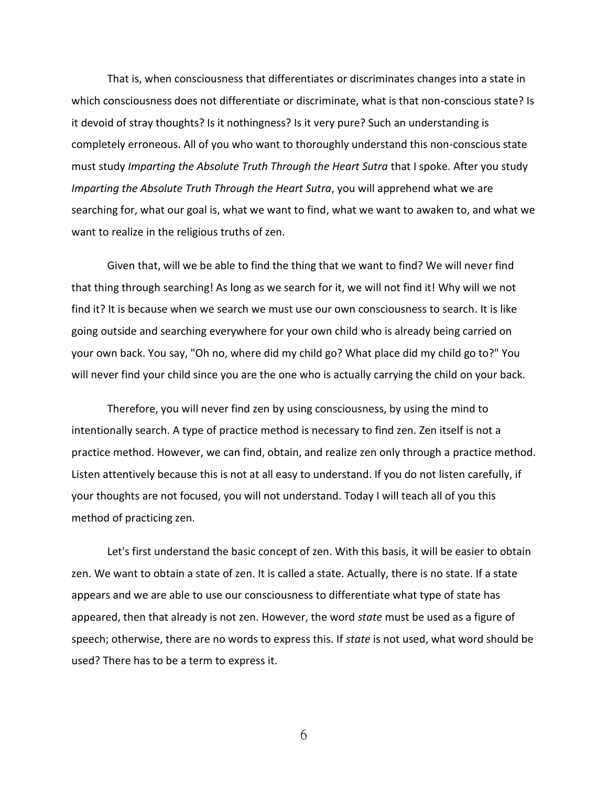That is, when consciousness that differentiates or discriminates changes into a state in which consciousness does not differentiate or discriminate, what is that non-conscious state? Is it devoid of stray thoughts? Is it nothingness? Is it very pure? Such an understanding is completely erroneous. All of you who want to thoroughly understand this non-conscious state must study *Imparting the Absolute Truth Through the Heart Sutra* that I spoke. After you study *Imparting the Absolute Truth Through the Heart Sutra*, you will apprehend what we are searching for, what our goal is, what we want to find, what we want to awaken to, and what we want to realize in the religious truths of zen.

Given that, will we be able to find the thing that we want to find? We will never find that thing through searching! As long as we search for it, we will not find it! Why will we not find it? It is because when we search we must use our own consciousness to search. It is like going outside and searching everywhere for your own child who is already being carried on your own back. You say, "Oh no, where did my child go? What place did my child go to?" You will never find your child since you are the one who is actually carrying the child on your back.

Therefore, you will never find zen by using consciousness, by using the mind to intentionally search. A type of practice method is necessary to find zen. Zen itself is not a practice method. However, we can find, obtain, and realize zen only through a practice method. Listen attentively because this is not at all easy to understand. If you do not listen carefully, if your thoughts are not focused, you will not understand. Today I will teach all of you this method of practicing zen.

Let's first understand the basic concept of zen. With this basis, it will be easier to obtain zen. We want to obtain a state of zen. It is called a state. Actually, there is no state. If a state appears and we are able to use our consciousness to differentiate what type of state has appeared, then that already is not zen. However, the word *state* must be used as a figure of speech; otherwise, there are no words to express this. If *state* is not used, what word should be used? There has to be a term to express it.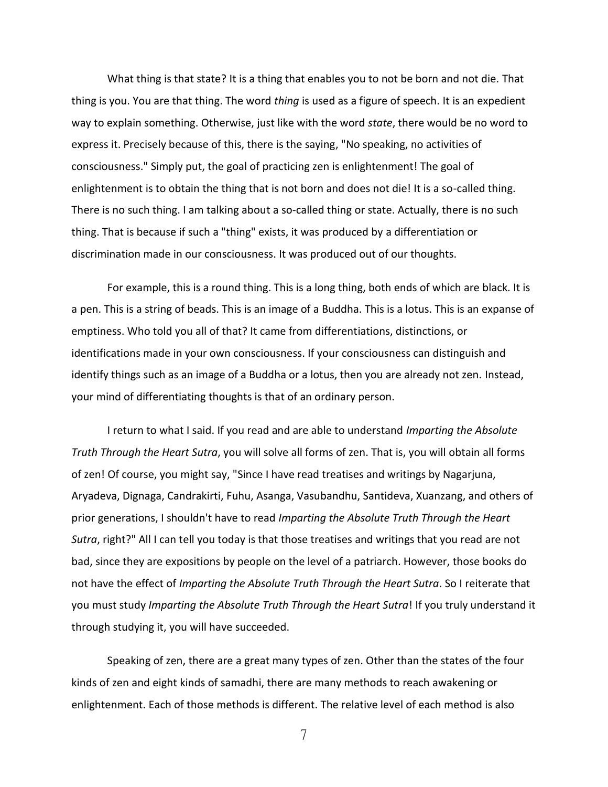What thing is that state? It is a thing that enables you to not be born and not die. That thing is you. You are that thing. The word *thing* is used as a figure of speech. It is an expedient way to explain something. Otherwise, just like with the word *state*, there would be no word to express it. Precisely because of this, there is the saying, "No speaking, no activities of consciousness." Simply put, the goal of practicing zen is enlightenment! The goal of enlightenment is to obtain the thing that is not born and does not die! It is a so-called thing. There is no such thing. I am talking about a so-called thing or state. Actually, there is no such thing. That is because if such a "thing" exists, it was produced by a differentiation or discrimination made in our consciousness. It was produced out of our thoughts.

For example, this is a round thing. This is a long thing, both ends of which are black. It is a pen. This is a string of beads. This is an image of a Buddha. This is a lotus. This is an expanse of emptiness. Who told you all of that? It came from differentiations, distinctions, or identifications made in your own consciousness. If your consciousness can distinguish and identify things such as an image of a Buddha or a lotus, then you are already not zen. Instead, your mind of differentiating thoughts is that of an ordinary person.

I return to what I said. If you read and are able to understand *Imparting the Absolute Truth Through the Heart Sutra*, you will solve all forms of zen. That is, you will obtain all forms of zen! Of course, you might say, "Since I have read treatises and writings by Nagarjuna, Aryadeva, Dignaga, Candrakirti, Fuhu, Asanga, Vasubandhu, Santideva, Xuanzang, and others of prior generations, I shouldn't have to read *Imparting the Absolute Truth Through the Heart Sutra*, right?" All I can tell you today is that those treatises and writings that you read are not bad, since they are expositions by people on the level of a patriarch. However, those books do not have the effect of *Imparting the Absolute Truth Through the Heart Sutra*. So I reiterate that you must study *Imparting the Absolute Truth Through the Heart Sutra*! If you truly understand it through studying it, you will have succeeded.

Speaking of zen, there are a great many types of zen. Other than the states of the four kinds of zen and eight kinds of samadhi, there are many methods to reach awakening or enlightenment. Each of those methods is different. The relative level of each method is also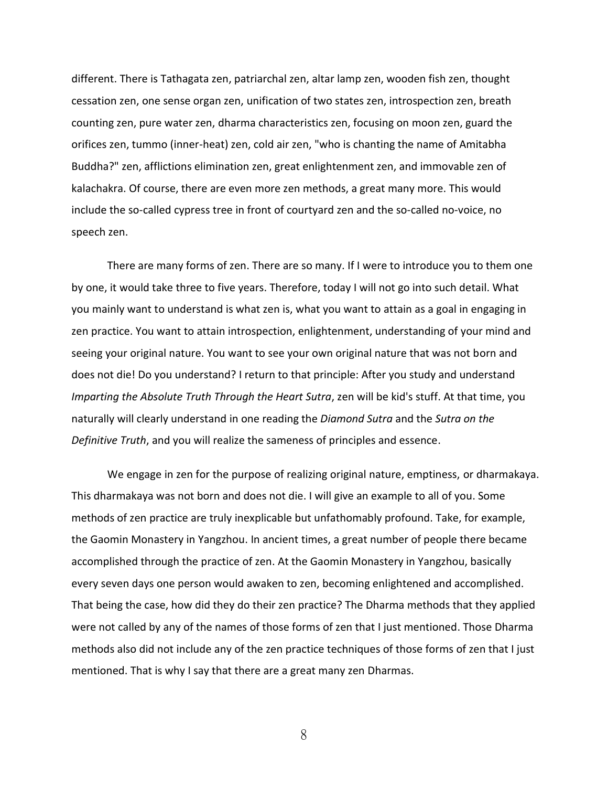different. There is Tathagata zen, patriarchal zen, altar lamp zen, wooden fish zen, thought cessation zen, one sense organ zen, unification of two states zen, introspection zen, breath counting zen, pure water zen, dharma characteristics zen, focusing on moon zen, guard the orifices zen, tummo (inner-heat) zen, cold air zen, "who is chanting the name of Amitabha Buddha?" zen, afflictions elimination zen, great enlightenment zen, and immovable zen of kalachakra. Of course, there are even more zen methods, a great many more. This would include the so-called cypress tree in front of courtyard zen and the so-called no-voice, no speech zen.

There are many forms of zen. There are so many. If I were to introduce you to them one by one, it would take three to five years. Therefore, today I will not go into such detail. What you mainly want to understand is what zen is, what you want to attain as a goal in engaging in zen practice. You want to attain introspection, enlightenment, understanding of your mind and seeing your original nature. You want to see your own original nature that was not born and does not die! Do you understand? I return to that principle: After you study and understand *Imparting the Absolute Truth Through the Heart Sutra*, zen will be kid's stuff. At that time, you naturally will clearly understand in one reading the *Diamond Sutra* and the *Sutra on the Definitive Truth*, and you will realize the sameness of principles and essence.

We engage in zen for the purpose of realizing original nature, emptiness, or dharmakaya. This dharmakaya was not born and does not die. I will give an example to all of you. Some methods of zen practice are truly inexplicable but unfathomably profound. Take, for example, the Gaomin Monastery in Yangzhou. In ancient times, a great number of people there became accomplished through the practice of zen. At the Gaomin Monastery in Yangzhou, basically every seven days one person would awaken to zen, becoming enlightened and accomplished. That being the case, how did they do their zen practice? The Dharma methods that they applied were not called by any of the names of those forms of zen that I just mentioned. Those Dharma methods also did not include any of the zen practice techniques of those forms of zen that I just mentioned. That is why I say that there are a great many zen Dharmas.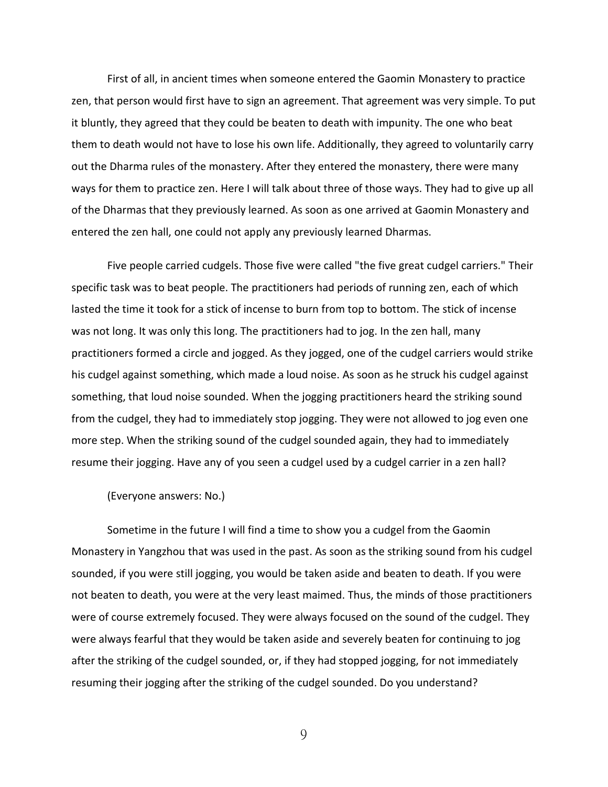First of all, in ancient times when someone entered the Gaomin Monastery to practice zen, that person would first have to sign an agreement. That agreement was very simple. To put it bluntly, they agreed that they could be beaten to death with impunity. The one who beat them to death would not have to lose his own life. Additionally, they agreed to voluntarily carry out the Dharma rules of the monastery. After they entered the monastery, there were many ways for them to practice zen. Here I will talk about three of those ways. They had to give up all of the Dharmas that they previously learned. As soon as one arrived at Gaomin Monastery and entered the zen hall, one could not apply any previously learned Dharmas.

Five people carried cudgels. Those five were called "the five great cudgel carriers." Their specific task was to beat people. The practitioners had periods of running zen, each of which lasted the time it took for a stick of incense to burn from top to bottom. The stick of incense was not long. It was only this long. The practitioners had to jog. In the zen hall, many practitioners formed a circle and jogged. As they jogged, one of the cudgel carriers would strike his cudgel against something, which made a loud noise. As soon as he struck his cudgel against something, that loud noise sounded. When the jogging practitioners heard the striking sound from the cudgel, they had to immediately stop jogging. They were not allowed to jog even one more step. When the striking sound of the cudgel sounded again, they had to immediately resume their jogging. Have any of you seen a cudgel used by a cudgel carrier in a zen hall?

#### (Everyone answers: No.)

Sometime in the future I will find a time to show you a cudgel from the Gaomin Monastery in Yangzhou that was used in the past. As soon as the striking sound from his cudgel sounded, if you were still jogging, you would be taken aside and beaten to death. If you were not beaten to death, you were at the very least maimed. Thus, the minds of those practitioners were of course extremely focused. They were always focused on the sound of the cudgel. They were always fearful that they would be taken aside and severely beaten for continuing to jog after the striking of the cudgel sounded, or, if they had stopped jogging, for not immediately resuming their jogging after the striking of the cudgel sounded. Do you understand?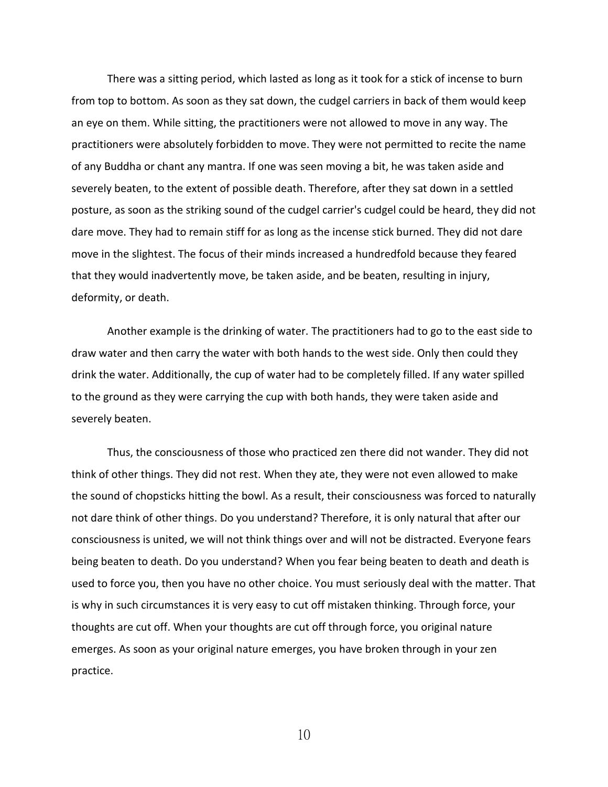There was a sitting period, which lasted as long as it took for a stick of incense to burn from top to bottom. As soon as they sat down, the cudgel carriers in back of them would keep an eye on them. While sitting, the practitioners were not allowed to move in any way. The practitioners were absolutely forbidden to move. They were not permitted to recite the name of any Buddha or chant any mantra. If one was seen moving a bit, he was taken aside and severely beaten, to the extent of possible death. Therefore, after they sat down in a settled posture, as soon as the striking sound of the cudgel carrier's cudgel could be heard, they did not dare move. They had to remain stiff for as long as the incense stick burned. They did not dare move in the slightest. The focus of their minds increased a hundredfold because they feared that they would inadvertently move, be taken aside, and be beaten, resulting in injury, deformity, or death.

Another example is the drinking of water. The practitioners had to go to the east side to draw water and then carry the water with both hands to the west side. Only then could they drink the water. Additionally, the cup of water had to be completely filled. If any water spilled to the ground as they were carrying the cup with both hands, they were taken aside and severely beaten.

Thus, the consciousness of those who practiced zen there did not wander. They did not think of other things. They did not rest. When they ate, they were not even allowed to make the sound of chopsticks hitting the bowl. As a result, their consciousness was forced to naturally not dare think of other things. Do you understand? Therefore, it is only natural that after our consciousness is united, we will not think things over and will not be distracted. Everyone fears being beaten to death. Do you understand? When you fear being beaten to death and death is used to force you, then you have no other choice. You must seriously deal with the matter. That is why in such circumstances it is very easy to cut off mistaken thinking. Through force, your thoughts are cut off. When your thoughts are cut off through force, you original nature emerges. As soon as your original nature emerges, you have broken through in your zen practice.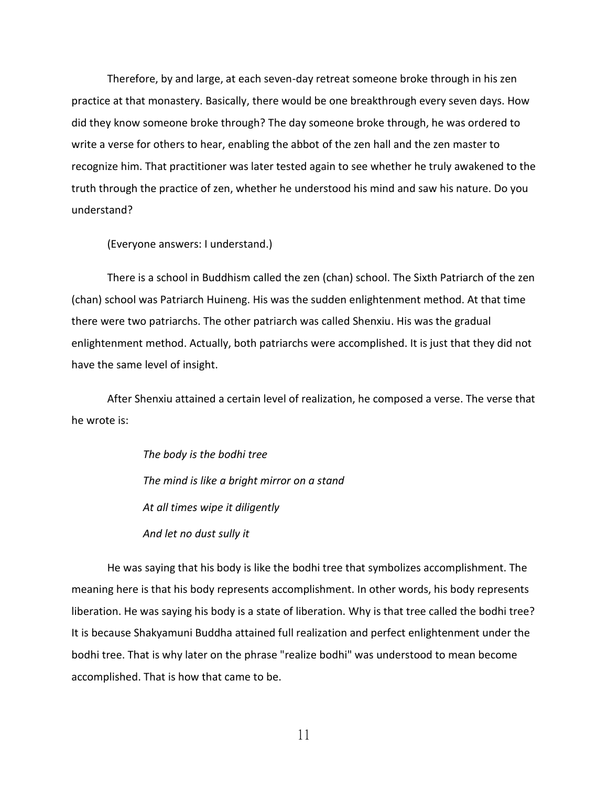Therefore, by and large, at each seven-day retreat someone broke through in his zen practice at that monastery. Basically, there would be one breakthrough every seven days. How did they know someone broke through? The day someone broke through, he was ordered to write a verse for others to hear, enabling the abbot of the zen hall and the zen master to recognize him. That practitioner was later tested again to see whether he truly awakened to the truth through the practice of zen, whether he understood his mind and saw his nature. Do you understand?

(Everyone answers: I understand.)

There is a school in Buddhism called the zen (chan) school. The Sixth Patriarch of the zen (chan) school was Patriarch Huineng. His was the sudden enlightenment method. At that time there were two patriarchs. The other patriarch was called Shenxiu. His was the gradual enlightenment method. Actually, both patriarchs were accomplished. It is just that they did not have the same level of insight.

After Shenxiu attained a certain level of realization, he composed a verse. The verse that he wrote is:

> *The body is the bodhi tree The mind is like a bright mirror on a stand At all times wipe it diligently And let no dust sully it*

He was saying that his body is like the bodhi tree that symbolizes accomplishment. The meaning here is that his body represents accomplishment. In other words, his body represents liberation. He was saying his body is a state of liberation. Why is that tree called the bodhi tree? It is because Shakyamuni Buddha attained full realization and perfect enlightenment under the bodhi tree. That is why later on the phrase "realize bodhi" was understood to mean become accomplished. That is how that came to be.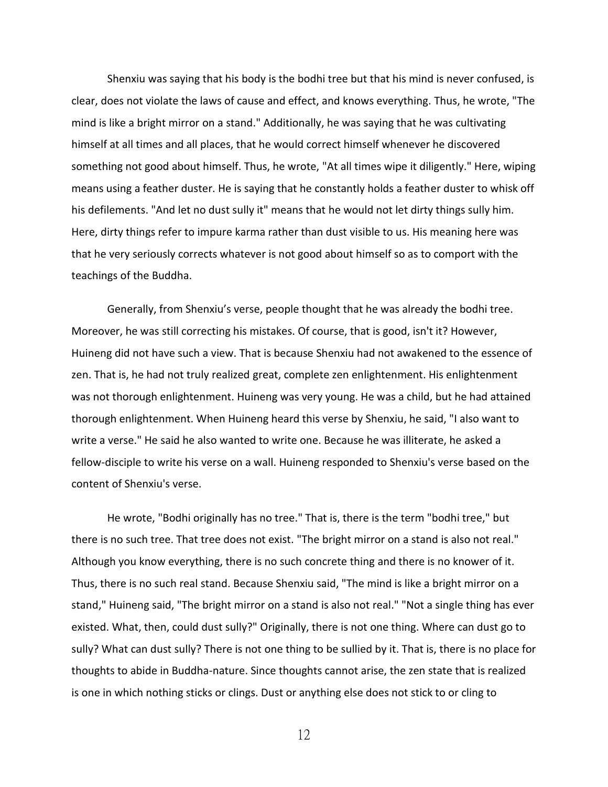Shenxiu was saying that his body is the bodhi tree but that his mind is never confused, is clear, does not violate the laws of cause and effect, and knows everything. Thus, he wrote, "The mind is like a bright mirror on a stand." Additionally, he was saying that he was cultivating himself at all times and all places, that he would correct himself whenever he discovered something not good about himself. Thus, he wrote, "At all times wipe it diligently." Here, wiping means using a feather duster. He is saying that he constantly holds a feather duster to whisk off his defilements. "And let no dust sully it" means that he would not let dirty things sully him. Here, dirty things refer to impure karma rather than dust visible to us. His meaning here was that he very seriously corrects whatever is not good about himself so as to comport with the teachings of the Buddha.

Generally, from Shenxiu's verse, people thought that he was already the bodhi tree. Moreover, he was still correcting his mistakes. Of course, that is good, isn't it? However, Huineng did not have such a view. That is because Shenxiu had not awakened to the essence of zen. That is, he had not truly realized great, complete zen enlightenment. His enlightenment was not thorough enlightenment. Huineng was very young. He was a child, but he had attained thorough enlightenment. When Huineng heard this verse by Shenxiu, he said, "I also want to write a verse." He said he also wanted to write one. Because he was illiterate, he asked a fellow-disciple to write his verse on a wall. Huineng responded to Shenxiu's verse based on the content of Shenxiu's verse.

He wrote, "Bodhi originally has no tree." That is, there is the term "bodhi tree," but there is no such tree. That tree does not exist. "The bright mirror on a stand is also not real." Although you know everything, there is no such concrete thing and there is no knower of it. Thus, there is no such real stand. Because Shenxiu said, "The mind is like a bright mirror on a stand," Huineng said, "The bright mirror on a stand is also not real." "Not a single thing has ever existed. What, then, could dust sully?" Originally, there is not one thing. Where can dust go to sully? What can dust sully? There is not one thing to be sullied by it. That is, there is no place for thoughts to abide in Buddha-nature. Since thoughts cannot arise, the zen state that is realized is one in which nothing sticks or clings. Dust or anything else does not stick to or cling to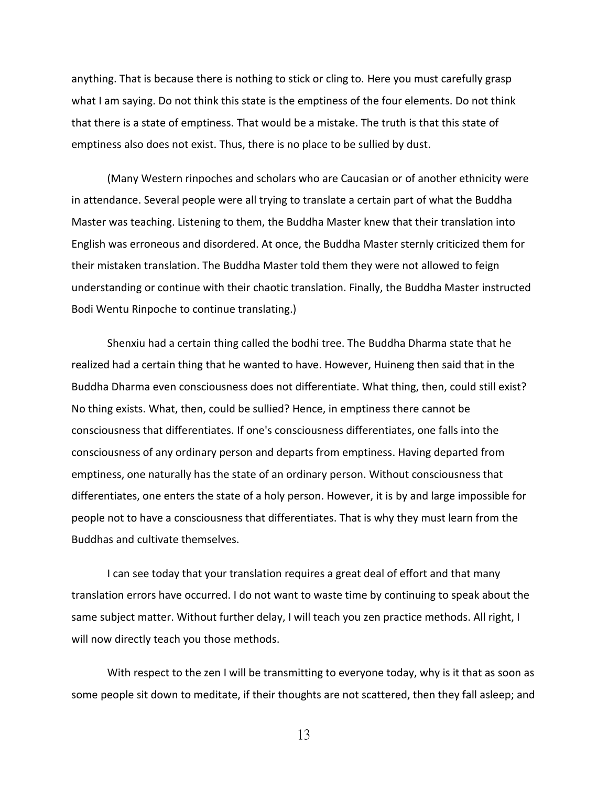anything. That is because there is nothing to stick or cling to. Here you must carefully grasp what I am saying. Do not think this state is the emptiness of the four elements. Do not think that there is a state of emptiness. That would be a mistake. The truth is that this state of emptiness also does not exist. Thus, there is no place to be sullied by dust.

(Many Western rinpoches and scholars who are Caucasian or of another ethnicity were in attendance. Several people were all trying to translate a certain part of what the Buddha Master was teaching. Listening to them, the Buddha Master knew that their translation into English was erroneous and disordered. At once, the Buddha Master sternly criticized them for their mistaken translation. The Buddha Master told them they were not allowed to feign understanding or continue with their chaotic translation. Finally, the Buddha Master instructed Bodi Wentu Rinpoche to continue translating.)

Shenxiu had a certain thing called the bodhi tree. The Buddha Dharma state that he realized had a certain thing that he wanted to have. However, Huineng then said that in the Buddha Dharma even consciousness does not differentiate. What thing, then, could still exist? No thing exists. What, then, could be sullied? Hence, in emptiness there cannot be consciousness that differentiates. If one's consciousness differentiates, one falls into the consciousness of any ordinary person and departs from emptiness. Having departed from emptiness, one naturally has the state of an ordinary person. Without consciousness that differentiates, one enters the state of a holy person. However, it is by and large impossible for people not to have a consciousness that differentiates. That is why they must learn from the Buddhas and cultivate themselves.

I can see today that your translation requires a great deal of effort and that many translation errors have occurred. I do not want to waste time by continuing to speak about the same subject matter. Without further delay, I will teach you zen practice methods. All right, I will now directly teach you those methods.

With respect to the zen I will be transmitting to everyone today, why is it that as soon as some people sit down to meditate, if their thoughts are not scattered, then they fall asleep; and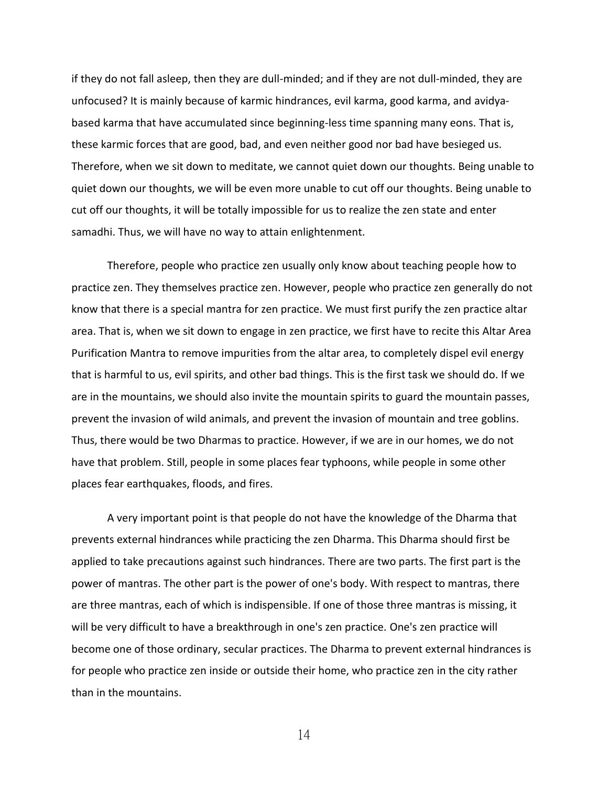if they do not fall asleep, then they are dull-minded; and if they are not dull-minded, they are unfocused? It is mainly because of karmic hindrances, evil karma, good karma, and avidyabased karma that have accumulated since beginning-less time spanning many eons. That is, these karmic forces that are good, bad, and even neither good nor bad have besieged us. Therefore, when we sit down to meditate, we cannot quiet down our thoughts. Being unable to quiet down our thoughts, we will be even more unable to cut off our thoughts. Being unable to cut off our thoughts, it will be totally impossible for us to realize the zen state and enter samadhi. Thus, we will have no way to attain enlightenment.

Therefore, people who practice zen usually only know about teaching people how to practice zen. They themselves practice zen. However, people who practice zen generally do not know that there is a special mantra for zen practice. We must first purify the zen practice altar area. That is, when we sit down to engage in zen practice, we first have to recite this Altar Area Purification Mantra to remove impurities from the altar area, to completely dispel evil energy that is harmful to us, evil spirits, and other bad things. This is the first task we should do. If we are in the mountains, we should also invite the mountain spirits to guard the mountain passes, prevent the invasion of wild animals, and prevent the invasion of mountain and tree goblins. Thus, there would be two Dharmas to practice. However, if we are in our homes, we do not have that problem. Still, people in some places fear typhoons, while people in some other places fear earthquakes, floods, and fires.

A very important point is that people do not have the knowledge of the Dharma that prevents external hindrances while practicing the zen Dharma. This Dharma should first be applied to take precautions against such hindrances. There are two parts. The first part is the power of mantras. The other part is the power of one's body. With respect to mantras, there are three mantras, each of which is indispensible. If one of those three mantras is missing, it will be very difficult to have a breakthrough in one's zen practice. One's zen practice will become one of those ordinary, secular practices. The Dharma to prevent external hindrances is for people who practice zen inside or outside their home, who practice zen in the city rather than in the mountains.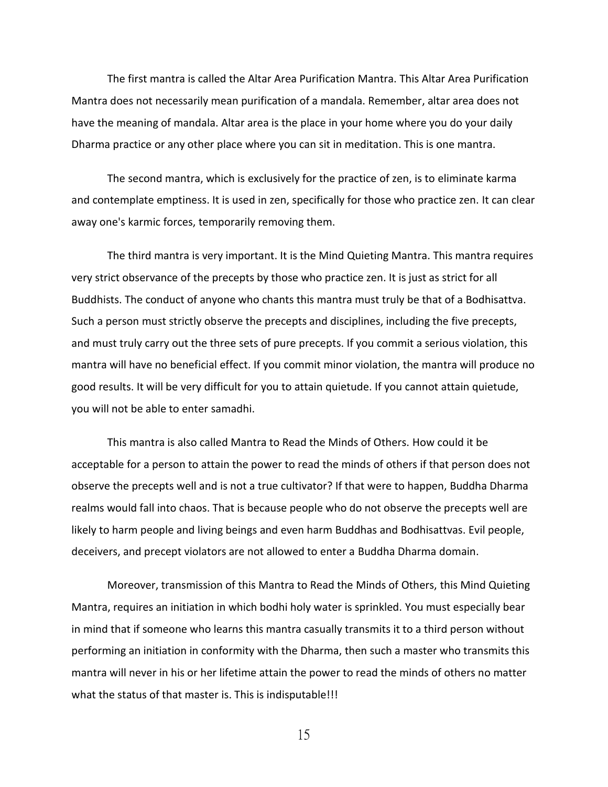The first mantra is called the Altar Area Purification Mantra. This Altar Area Purification Mantra does not necessarily mean purification of a mandala. Remember, altar area does not have the meaning of mandala. Altar area is the place in your home where you do your daily Dharma practice or any other place where you can sit in meditation. This is one mantra.

The second mantra, which is exclusively for the practice of zen, is to eliminate karma and contemplate emptiness. It is used in zen, specifically for those who practice zen. It can clear away one's karmic forces, temporarily removing them.

The third mantra is very important. It is the Mind Quieting Mantra. This mantra requires very strict observance of the precepts by those who practice zen. It is just as strict for all Buddhists. The conduct of anyone who chants this mantra must truly be that of a Bodhisattva. Such a person must strictly observe the precepts and disciplines, including the five precepts, and must truly carry out the three sets of pure precepts. If you commit a serious violation, this mantra will have no beneficial effect. If you commit minor violation, the mantra will produce no good results. It will be very difficult for you to attain quietude. If you cannot attain quietude, you will not be able to enter samadhi.

This mantra is also called Mantra to Read the Minds of Others. How could it be acceptable for a person to attain the power to read the minds of others if that person does not observe the precepts well and is not a true cultivator? If that were to happen, Buddha Dharma realms would fall into chaos. That is because people who do not observe the precepts well are likely to harm people and living beings and even harm Buddhas and Bodhisattvas. Evil people, deceivers, and precept violators are not allowed to enter a Buddha Dharma domain.

Moreover, transmission of this Mantra to Read the Minds of Others, this Mind Quieting Mantra, requires an initiation in which bodhi holy water is sprinkled. You must especially bear in mind that if someone who learns this mantra casually transmits it to a third person without performing an initiation in conformity with the Dharma, then such a master who transmits this mantra will never in his or her lifetime attain the power to read the minds of others no matter what the status of that master is. This is indisputable!!!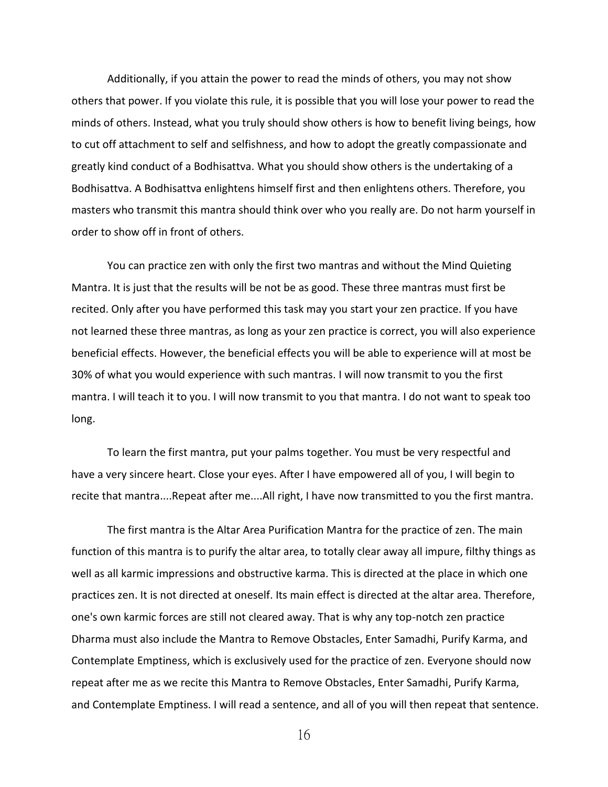Additionally, if you attain the power to read the minds of others, you may not show others that power. If you violate this rule, it is possible that you will lose your power to read the minds of others. Instead, what you truly should show others is how to benefit living beings, how to cut off attachment to self and selfishness, and how to adopt the greatly compassionate and greatly kind conduct of a Bodhisattva. What you should show others is the undertaking of a Bodhisattva. A Bodhisattva enlightens himself first and then enlightens others. Therefore, you masters who transmit this mantra should think over who you really are. Do not harm yourself in order to show off in front of others.

You can practice zen with only the first two mantras and without the Mind Quieting Mantra. It is just that the results will be not be as good. These three mantras must first be recited. Only after you have performed this task may you start your zen practice. If you have not learned these three mantras, as long as your zen practice is correct, you will also experience beneficial effects. However, the beneficial effects you will be able to experience will at most be 30% of what you would experience with such mantras. I will now transmit to you the first mantra. I will teach it to you. I will now transmit to you that mantra. I do not want to speak too long.

To learn the first mantra, put your palms together. You must be very respectful and have a very sincere heart. Close your eyes. After I have empowered all of you, I will begin to recite that mantra....Repeat after me....All right, I have now transmitted to you the first mantra.

The first mantra is the Altar Area Purification Mantra for the practice of zen. The main function of this mantra is to purify the altar area, to totally clear away all impure, filthy things as well as all karmic impressions and obstructive karma. This is directed at the place in which one practices zen. It is not directed at oneself. Its main effect is directed at the altar area. Therefore, one's own karmic forces are still not cleared away. That is why any top-notch zen practice Dharma must also include the Mantra to Remove Obstacles, Enter Samadhi, Purify Karma, and Contemplate Emptiness, which is exclusively used for the practice of zen. Everyone should now repeat after me as we recite this Mantra to Remove Obstacles, Enter Samadhi, Purify Karma, and Contemplate Emptiness. I will read a sentence, and all of you will then repeat that sentence.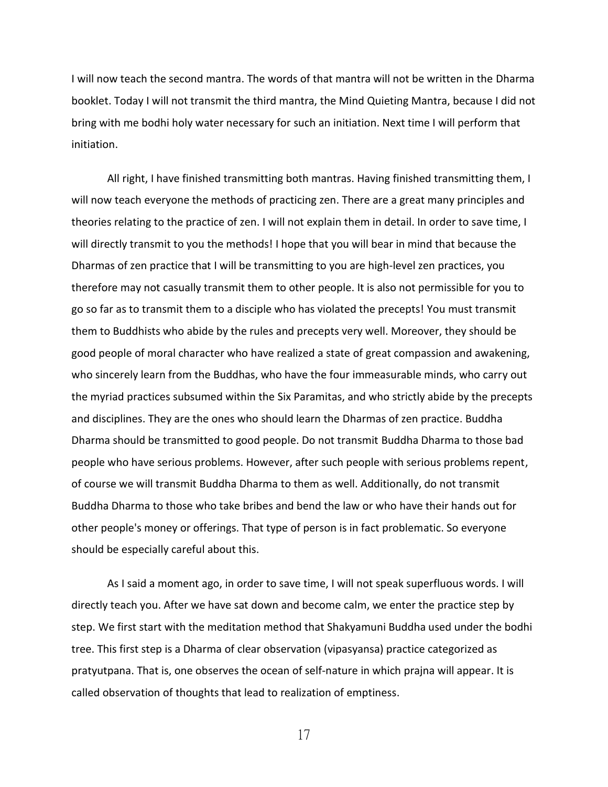I will now teach the second mantra. The words of that mantra will not be written in the Dharma booklet. Today I will not transmit the third mantra, the Mind Quieting Mantra, because I did not bring with me bodhi holy water necessary for such an initiation. Next time I will perform that initiation.

All right, I have finished transmitting both mantras. Having finished transmitting them, I will now teach everyone the methods of practicing zen. There are a great many principles and theories relating to the practice of zen. I will not explain them in detail. In order to save time, I will directly transmit to you the methods! I hope that you will bear in mind that because the Dharmas of zen practice that I will be transmitting to you are high-level zen practices, you therefore may not casually transmit them to other people. It is also not permissible for you to go so far as to transmit them to a disciple who has violated the precepts! You must transmit them to Buddhists who abide by the rules and precepts very well. Moreover, they should be good people of moral character who have realized a state of great compassion and awakening, who sincerely learn from the Buddhas, who have the four immeasurable minds, who carry out the myriad practices subsumed within the Six Paramitas, and who strictly abide by the precepts and disciplines. They are the ones who should learn the Dharmas of zen practice. Buddha Dharma should be transmitted to good people. Do not transmit Buddha Dharma to those bad people who have serious problems. However, after such people with serious problems repent, of course we will transmit Buddha Dharma to them as well. Additionally, do not transmit Buddha Dharma to those who take bribes and bend the law or who have their hands out for other people's money or offerings. That type of person is in fact problematic. So everyone should be especially careful about this.

As I said a moment ago, in order to save time, I will not speak superfluous words. I will directly teach you. After we have sat down and become calm, we enter the practice step by step. We first start with the meditation method that Shakyamuni Buddha used under the bodhi tree. This first step is a Dharma of clear observation (vipasyansa) practice categorized as pratyutpana. That is, one observes the ocean of self-nature in which prajna will appear. It is called observation of thoughts that lead to realization of emptiness.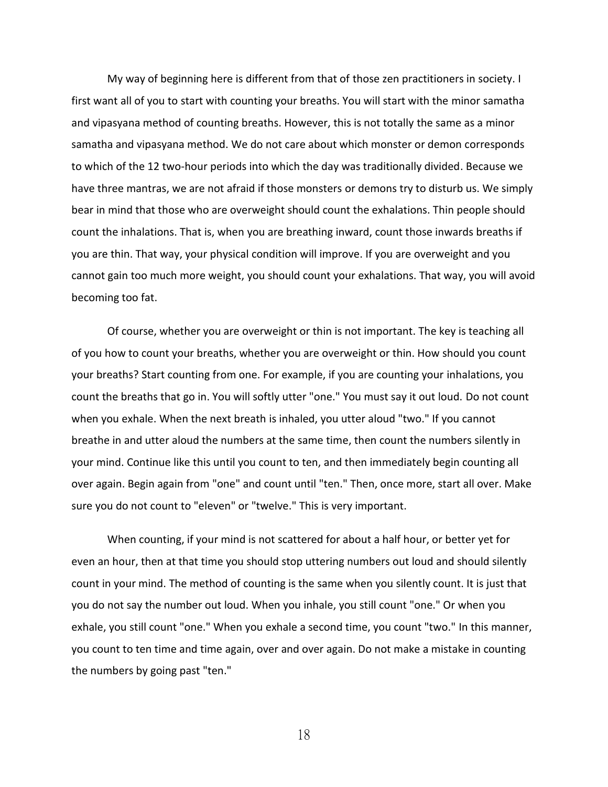My way of beginning here is different from that of those zen practitioners in society. I first want all of you to start with counting your breaths. You will start with the minor samatha and vipasyana method of counting breaths. However, this is not totally the same as a minor samatha and vipasyana method. We do not care about which monster or demon corresponds to which of the 12 two-hour periods into which the day was traditionally divided. Because we have three mantras, we are not afraid if those monsters or demons try to disturb us. We simply bear in mind that those who are overweight should count the exhalations. Thin people should count the inhalations. That is, when you are breathing inward, count those inwards breaths if you are thin. That way, your physical condition will improve. If you are overweight and you cannot gain too much more weight, you should count your exhalations. That way, you will avoid becoming too fat.

Of course, whether you are overweight or thin is not important. The key is teaching all of you how to count your breaths, whether you are overweight or thin. How should you count your breaths? Start counting from one. For example, if you are counting your inhalations, you count the breaths that go in. You will softly utter "one." You must say it out loud. Do not count when you exhale. When the next breath is inhaled, you utter aloud "two." If you cannot breathe in and utter aloud the numbers at the same time, then count the numbers silently in your mind. Continue like this until you count to ten, and then immediately begin counting all over again. Begin again from "one" and count until "ten." Then, once more, start all over. Make sure you do not count to "eleven" or "twelve." This is very important.

When counting, if your mind is not scattered for about a half hour, or better yet for even an hour, then at that time you should stop uttering numbers out loud and should silently count in your mind. The method of counting is the same when you silently count. It is just that you do not say the number out loud. When you inhale, you still count "one." Or when you exhale, you still count "one." When you exhale a second time, you count "two." In this manner, you count to ten time and time again, over and over again. Do not make a mistake in counting the numbers by going past "ten."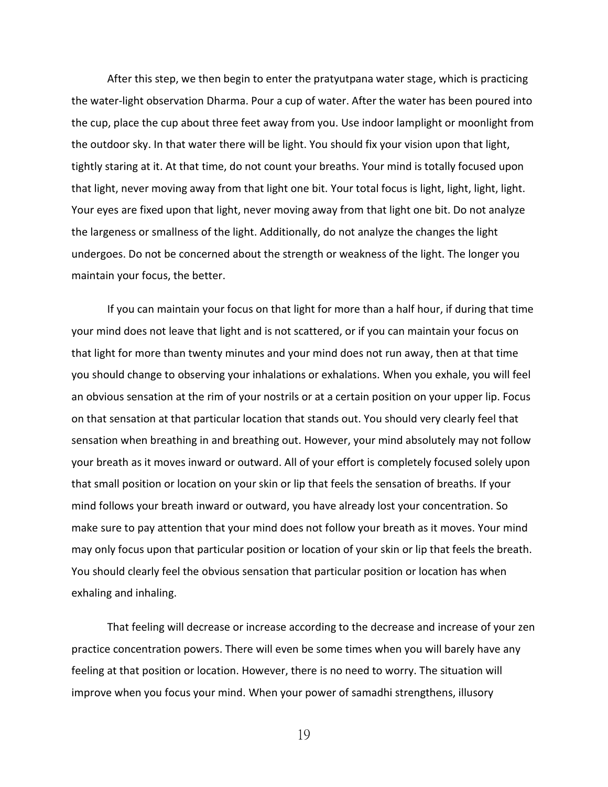After this step, we then begin to enter the pratyutpana water stage, which is practicing the water-light observation Dharma. Pour a cup of water. After the water has been poured into the cup, place the cup about three feet away from you. Use indoor lamplight or moonlight from the outdoor sky. In that water there will be light. You should fix your vision upon that light, tightly staring at it. At that time, do not count your breaths. Your mind is totally focused upon that light, never moving away from that light one bit. Your total focus is light, light, light, light. Your eyes are fixed upon that light, never moving away from that light one bit. Do not analyze the largeness or smallness of the light. Additionally, do not analyze the changes the light undergoes. Do not be concerned about the strength or weakness of the light. The longer you maintain your focus, the better.

If you can maintain your focus on that light for more than a half hour, if during that time your mind does not leave that light and is not scattered, or if you can maintain your focus on that light for more than twenty minutes and your mind does not run away, then at that time you should change to observing your inhalations or exhalations. When you exhale, you will feel an obvious sensation at the rim of your nostrils or at a certain position on your upper lip. Focus on that sensation at that particular location that stands out. You should very clearly feel that sensation when breathing in and breathing out. However, your mind absolutely may not follow your breath as it moves inward or outward. All of your effort is completely focused solely upon that small position or location on your skin or lip that feels the sensation of breaths. If your mind follows your breath inward or outward, you have already lost your concentration. So make sure to pay attention that your mind does not follow your breath as it moves. Your mind may only focus upon that particular position or location of your skin or lip that feels the breath. You should clearly feel the obvious sensation that particular position or location has when exhaling and inhaling.

That feeling will decrease or increase according to the decrease and increase of your zen practice concentration powers. There will even be some times when you will barely have any feeling at that position or location. However, there is no need to worry. The situation will improve when you focus your mind. When your power of samadhi strengthens, illusory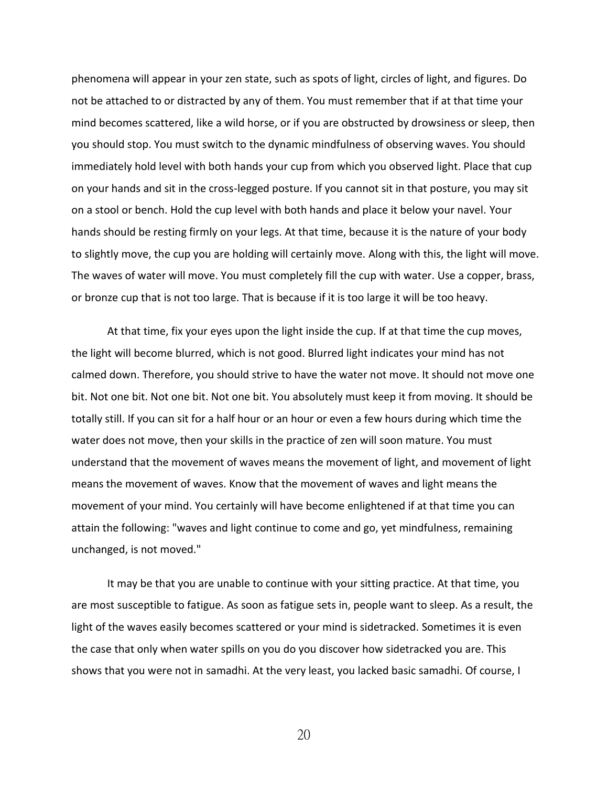phenomena will appear in your zen state, such as spots of light, circles of light, and figures. Do not be attached to or distracted by any of them. You must remember that if at that time your mind becomes scattered, like a wild horse, or if you are obstructed by drowsiness or sleep, then you should stop. You must switch to the dynamic mindfulness of observing waves. You should immediately hold level with both hands your cup from which you observed light. Place that cup on your hands and sit in the cross-legged posture. If you cannot sit in that posture, you may sit on a stool or bench. Hold the cup level with both hands and place it below your navel. Your hands should be resting firmly on your legs. At that time, because it is the nature of your body to slightly move, the cup you are holding will certainly move. Along with this, the light will move. The waves of water will move. You must completely fill the cup with water. Use a copper, brass, or bronze cup that is not too large. That is because if it is too large it will be too heavy.

At that time, fix your eyes upon the light inside the cup. If at that time the cup moves, the light will become blurred, which is not good. Blurred light indicates your mind has not calmed down. Therefore, you should strive to have the water not move. It should not move one bit. Not one bit. Not one bit. Not one bit. You absolutely must keep it from moving. It should be totally still. If you can sit for a half hour or an hour or even a few hours during which time the water does not move, then your skills in the practice of zen will soon mature. You must understand that the movement of waves means the movement of light, and movement of light means the movement of waves. Know that the movement of waves and light means the movement of your mind. You certainly will have become enlightened if at that time you can attain the following: "waves and light continue to come and go, yet mindfulness, remaining unchanged, is not moved."

It may be that you are unable to continue with your sitting practice. At that time, you are most susceptible to fatigue. As soon as fatigue sets in, people want to sleep. As a result, the light of the waves easily becomes scattered or your mind is sidetracked. Sometimes it is even the case that only when water spills on you do you discover how sidetracked you are. This shows that you were not in samadhi. At the very least, you lacked basic samadhi. Of course, I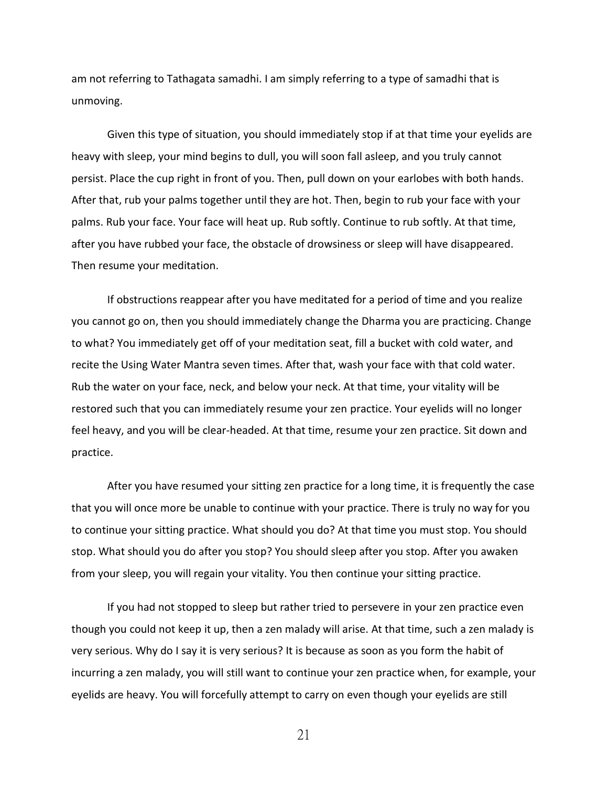am not referring to Tathagata samadhi. I am simply referring to a type of samadhi that is unmoving.

Given this type of situation, you should immediately stop if at that time your eyelids are heavy with sleep, your mind begins to dull, you will soon fall asleep, and you truly cannot persist. Place the cup right in front of you. Then, pull down on your earlobes with both hands. After that, rub your palms together until they are hot. Then, begin to rub your face with your palms. Rub your face. Your face will heat up. Rub softly. Continue to rub softly. At that time, after you have rubbed your face, the obstacle of drowsiness or sleep will have disappeared. Then resume your meditation.

If obstructions reappear after you have meditated for a period of time and you realize you cannot go on, then you should immediately change the Dharma you are practicing. Change to what? You immediately get off of your meditation seat, fill a bucket with cold water, and recite the Using Water Mantra seven times. After that, wash your face with that cold water. Rub the water on your face, neck, and below your neck. At that time, your vitality will be restored such that you can immediately resume your zen practice. Your eyelids will no longer feel heavy, and you will be clear-headed. At that time, resume your zen practice. Sit down and practice.

After you have resumed your sitting zen practice for a long time, it is frequently the case that you will once more be unable to continue with your practice. There is truly no way for you to continue your sitting practice. What should you do? At that time you must stop. You should stop. What should you do after you stop? You should sleep after you stop. After you awaken from your sleep, you will regain your vitality. You then continue your sitting practice.

If you had not stopped to sleep but rather tried to persevere in your zen practice even though you could not keep it up, then a zen malady will arise. At that time, such a zen malady is very serious. Why do I say it is very serious? It is because as soon as you form the habit of incurring a zen malady, you will still want to continue your zen practice when, for example, your eyelids are heavy. You will forcefully attempt to carry on even though your eyelids are still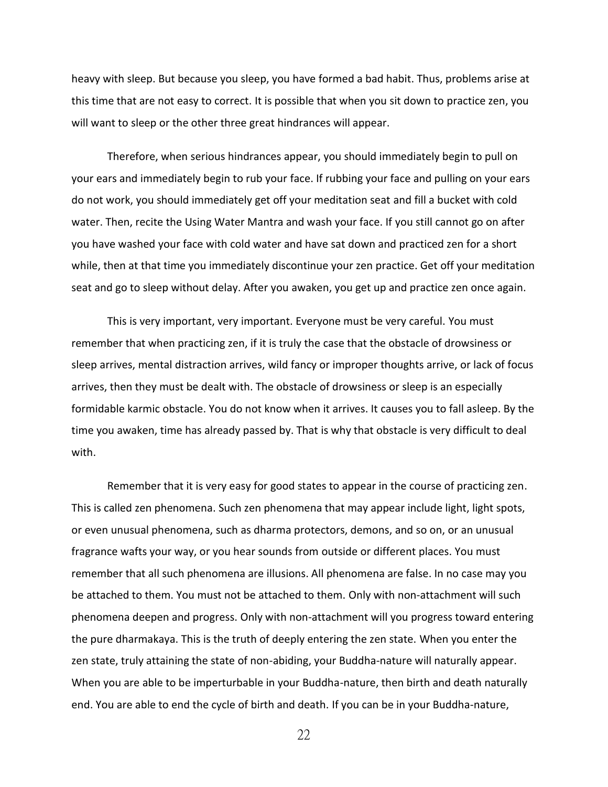heavy with sleep. But because you sleep, you have formed a bad habit. Thus, problems arise at this time that are not easy to correct. It is possible that when you sit down to practice zen, you will want to sleep or the other three great hindrances will appear.

Therefore, when serious hindrances appear, you should immediately begin to pull on your ears and immediately begin to rub your face. If rubbing your face and pulling on your ears do not work, you should immediately get off your meditation seat and fill a bucket with cold water. Then, recite the Using Water Mantra and wash your face. If you still cannot go on after you have washed your face with cold water and have sat down and practiced zen for a short while, then at that time you immediately discontinue your zen practice. Get off your meditation seat and go to sleep without delay. After you awaken, you get up and practice zen once again.

This is very important, very important. Everyone must be very careful. You must remember that when practicing zen, if it is truly the case that the obstacle of drowsiness or sleep arrives, mental distraction arrives, wild fancy or improper thoughts arrive, or lack of focus arrives, then they must be dealt with. The obstacle of drowsiness or sleep is an especially formidable karmic obstacle. You do not know when it arrives. It causes you to fall asleep. By the time you awaken, time has already passed by. That is why that obstacle is very difficult to deal with.

Remember that it is very easy for good states to appear in the course of practicing zen. This is called zen phenomena. Such zen phenomena that may appear include light, light spots, or even unusual phenomena, such as dharma protectors, demons, and so on, or an unusual fragrance wafts your way, or you hear sounds from outside or different places. You must remember that all such phenomena are illusions. All phenomena are false. In no case may you be attached to them. You must not be attached to them. Only with non-attachment will such phenomena deepen and progress. Only with non-attachment will you progress toward entering the pure dharmakaya. This is the truth of deeply entering the zen state. When you enter the zen state, truly attaining the state of non-abiding, your Buddha-nature will naturally appear. When you are able to be imperturbable in your Buddha-nature, then birth and death naturally end. You are able to end the cycle of birth and death. If you can be in your Buddha-nature,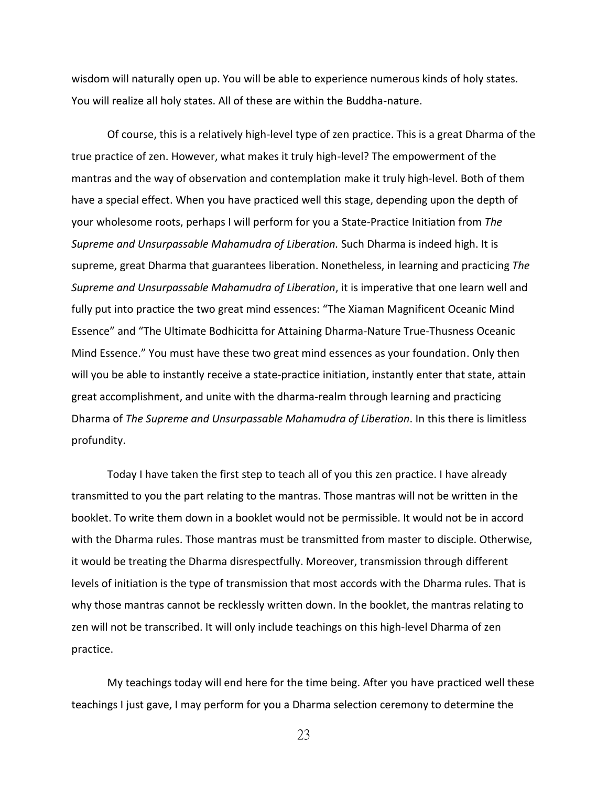wisdom will naturally open up. You will be able to experience numerous kinds of holy states. You will realize all holy states. All of these are within the Buddha-nature.

Of course, this is a relatively high-level type of zen practice. This is a great Dharma of the true practice of zen. However, what makes it truly high-level? The empowerment of the mantras and the way of observation and contemplation make it truly high-level. Both of them have a special effect. When you have practiced well this stage, depending upon the depth of your wholesome roots, perhaps I will perform for you a State-Practice Initiation from *The Supreme and Unsurpassable Mahamudra of Liberation.* Such Dharma is indeed high. It is supreme, great Dharma that guarantees liberation. Nonetheless, in learning and practicing *The Supreme and Unsurpassable Mahamudra of Liberation*, it is imperative that one learn well and fully put into practice the two great mind essences: "The Xiaman Magnificent Oceanic Mind Essence" and "The Ultimate Bodhicitta for Attaining Dharma-Nature True-Thusness Oceanic Mind Essence." You must have these two great mind essences as your foundation. Only then will you be able to instantly receive a state-practice initiation, instantly enter that state, attain great accomplishment, and unite with the dharma-realm through learning and practicing Dharma of *The Supreme and Unsurpassable Mahamudra of Liberation*. In this there is limitless profundity.

Today I have taken the first step to teach all of you this zen practice. I have already transmitted to you the part relating to the mantras. Those mantras will not be written in the booklet. To write them down in a booklet would not be permissible. It would not be in accord with the Dharma rules. Those mantras must be transmitted from master to disciple. Otherwise, it would be treating the Dharma disrespectfully. Moreover, transmission through different levels of initiation is the type of transmission that most accords with the Dharma rules. That is why those mantras cannot be recklessly written down. In the booklet, the mantras relating to zen will not be transcribed. It will only include teachings on this high-level Dharma of zen practice.

My teachings today will end here for the time being. After you have practiced well these teachings I just gave, I may perform for you a Dharma selection ceremony to determine the